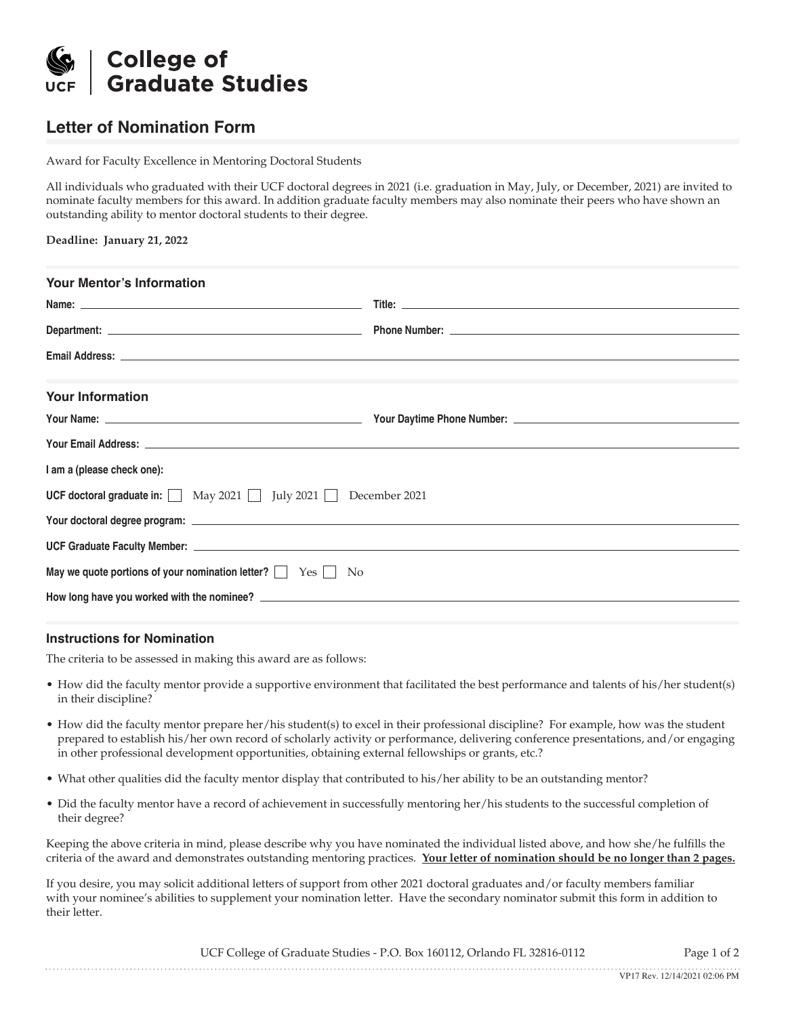

## **Letter of Nomination Form**

Award for Faculty Excellence in Mentoring Doctoral Students

All individuals who graduated with their UCF doctoral degrees in 2021 (i.e. graduation in May, July, or December, 2021) are invited to nominate faculty members for this award. In addition graduate faculty members may also nominate their peers who have shown an outstanding ability to mentor doctoral students to their degree.

| Deadline: January 21, 2022 |  |  |  |
|----------------------------|--|--|--|
|----------------------------|--|--|--|

| Your Name: <u>Name: Andreast Communication Communication</u> Court Daytime Phone Number: Name: Andreast Court Court Court |
|---------------------------------------------------------------------------------------------------------------------------|
|                                                                                                                           |
|                                                                                                                           |
| <b>UCF doctoral graduate in:</b> $\Box$ May 2021 $\Box$ July 2021 $\Box$ December 2021                                    |
|                                                                                                                           |
|                                                                                                                           |
|                                                                                                                           |
|                                                                                                                           |
|                                                                                                                           |

## **Instructions for Nomination**

The criteria to be assessed in making this award are as follows:

- How did the faculty mentor provide a supportive environment that facilitated the best performance and talents of his/her student(s) in their discipline?
- How did the faculty mentor prepare her/his student(s) to excel in their professional discipline? For example, how was the student prepared to establish his/her own record of scholarly activity or performance, delivering conference presentations, and/or engaging in other professional development opportunities, obtaining external fellowships or grants, etc.?
- What other qualities did the faculty mentor display that contributed to his/her ability to be an outstanding mentor?
- Did the faculty mentor have a record of achievement in successfully mentoring her/his students to the successful completion of their degree?

Keeping the above criteria in mind, please describe why you have nominated the individual listed above, and how she/he fulfills the criteria of the award and demonstrates outstanding mentoring practices. **Your letter of nomination should be no longer than 2 pages.**

If you desire, you may solicit additional letters of support from other 2021 doctoral graduates and/or faculty members familiar with your nominee's abilities to supplement your nomination letter. Have the secondary nominator submit this form in addition to their letter.

UCF College of Graduate Studies - P.O. Box 160112, Orlando FL 32816-0112 Page 1 of 2